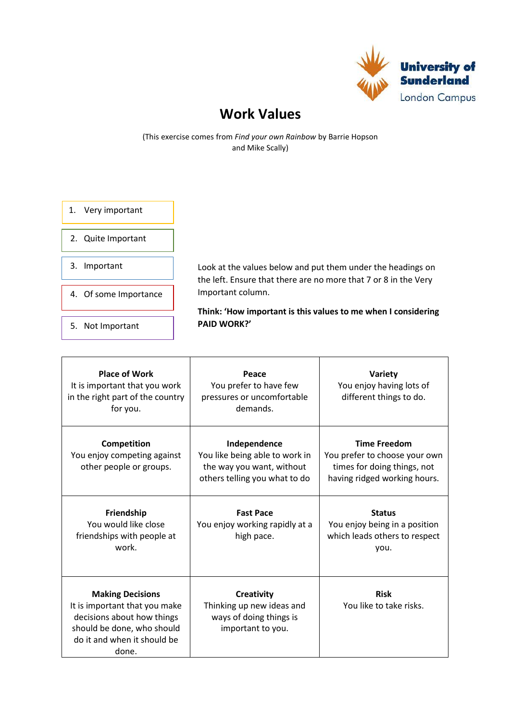

## **Work Values**

(This exercise comes from *Find your own Rainbow* by Barrie Hopson and Mike Scally)

| 1. Very important  |
|--------------------|
| 2. Quite Important |
| 3. Important       |

4. Of some Importance

Look at the values below and put them under the headings on the left. Ensure that there are no more that 7 or 8 in the Very Important column.

5. Not Important

**Think: 'How important is this values to me when I considering PAID WORK?'**

| <b>Place of Work</b><br>It is important that you work<br>in the right part of the country<br>for you.                                                        | Peace<br>You prefer to have few<br>pressures or uncomfortable<br>demands.                                    | Variety<br>You enjoy having lots of<br>different things to do.                                                      |
|--------------------------------------------------------------------------------------------------------------------------------------------------------------|--------------------------------------------------------------------------------------------------------------|---------------------------------------------------------------------------------------------------------------------|
| Competition<br>You enjoy competing against<br>other people or groups.                                                                                        | Independence<br>You like being able to work in<br>the way you want, without<br>others telling you what to do | <b>Time Freedom</b><br>You prefer to choose your own<br>times for doing things, not<br>having ridged working hours. |
| Friendship<br>You would like close<br>friendships with people at<br>work.                                                                                    | <b>Fast Pace</b><br>You enjoy working rapidly at a<br>high pace.                                             | <b>Status</b><br>You enjoy being in a position<br>which leads others to respect<br>you.                             |
| <b>Making Decisions</b><br>It is important that you make<br>decisions about how things<br>should be done, who should<br>do it and when it should be<br>done. | <b>Creativity</b><br>Thinking up new ideas and<br>ways of doing things is<br>important to you.               | <b>Risk</b><br>You like to take risks.                                                                              |